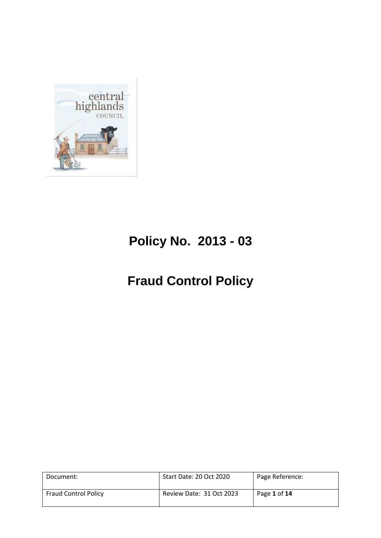

# **Policy No. 2013 - 03**

# **Fraud Control Policy**

| Document:                   | Start Date: 20 Oct 2020  | Page Reference: |
|-----------------------------|--------------------------|-----------------|
| <b>Fraud Control Policy</b> | Review Date: 31 Oct 2023 | Page 1 of 14    |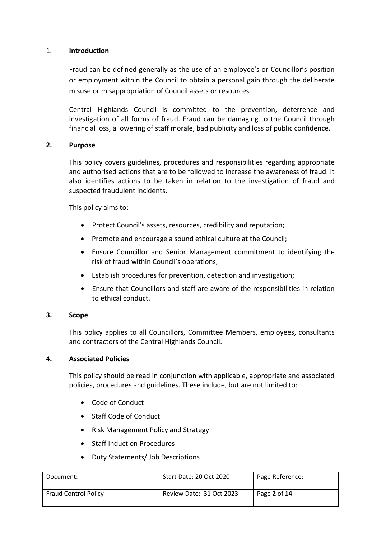#### 1. **Introduction**

Fraud can be defined generally as the use of an employee's or Councillor's position or employment within the Council to obtain a personal gain through the deliberate misuse or misappropriation of Council assets or resources.

Central Highlands Council is committed to the prevention, deterrence and investigation of all forms of fraud. Fraud can be damaging to the Council through financial loss, a lowering of staff morale, bad publicity and loss of public confidence.

## **2. Purpose**

This policy covers guidelines, procedures and responsibilities regarding appropriate and authorised actions that are to be followed to increase the awareness of fraud. It also identifies actions to be taken in relation to the investigation of fraud and suspected fraudulent incidents.

This policy aims to:

- Protect Council's assets, resources, credibility and reputation;
- Promote and encourage a sound ethical culture at the Council;
- Ensure Councillor and Senior Management commitment to identifying the risk of fraud within Council's operations;
- Establish procedures for prevention, detection and investigation;
- Ensure that Councillors and staff are aware of the responsibilities in relation to ethical conduct.

# **3. Scope**

This policy applies to all Councillors, Committee Members, employees, consultants and contractors of the Central Highlands Council.

# **4. Associated Policies**

This policy should be read in conjunction with applicable, appropriate and associated policies, procedures and guidelines. These include, but are not limited to:

- Code of Conduct
- Staff Code of Conduct
- Risk Management Policy and Strategy
- Staff Induction Procedures
- Duty Statements/ Job Descriptions

| Document:                   | Start Date: 20 Oct 2020  | Page Reference: |
|-----------------------------|--------------------------|-----------------|
| <b>Fraud Control Policy</b> | Review Date: 31 Oct 2023 | Page 2 of 14    |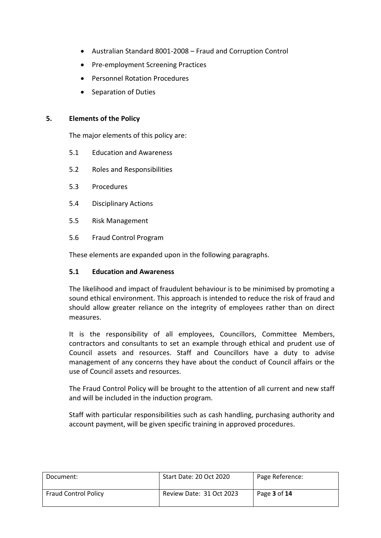- Australian Standard 8001-2008 Fraud and Corruption Control
- Pre-employment Screening Practices
- Personnel Rotation Procedures
- Separation of Duties

#### **5. Elements of the Policy**

The major elements of this policy are:

- 5.1 Education and Awareness
- 5.2 Roles and Responsibilities
- 5.3 Procedures
- 5.4 Disciplinary Actions
- 5.5 Risk Management
- 5.6 Fraud Control Program

These elements are expanded upon in the following paragraphs.

#### **5.1 Education and Awareness**

The likelihood and impact of fraudulent behaviour is to be minimised by promoting a sound ethical environment. This approach is intended to reduce the risk of fraud and should allow greater reliance on the integrity of employees rather than on direct measures.

It is the responsibility of all employees, Councillors, Committee Members, contractors and consultants to set an example through ethical and prudent use of Council assets and resources. Staff and Councillors have a duty to advise management of any concerns they have about the conduct of Council affairs or the use of Council assets and resources.

The Fraud Control Policy will be brought to the attention of all current and new staff and will be included in the induction program.

Staff with particular responsibilities such as cash handling, purchasing authority and account payment, will be given specific training in approved procedures.

| Document:                   | Start Date: 20 Oct 2020  | Page Reference:            |
|-----------------------------|--------------------------|----------------------------|
| <b>Fraud Control Policy</b> | Review Date: 31 Oct 2023 | Page <b>3</b> of <b>14</b> |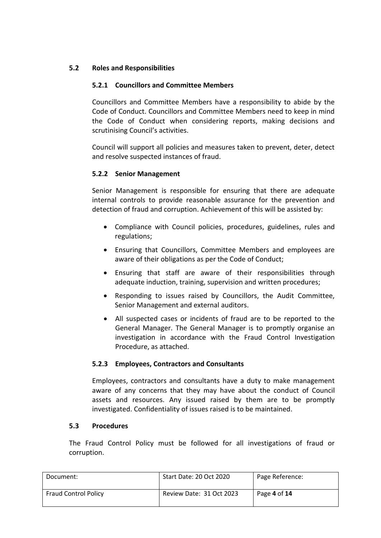# **5.2 Roles and Responsibilities**

# **5.2.1 Councillors and Committee Members**

Councillors and Committee Members have a responsibility to abide by the Code of Conduct. Councillors and Committee Members need to keep in mind the Code of Conduct when considering reports, making decisions and scrutinising Council's activities.

Council will support all policies and measures taken to prevent, deter, detect and resolve suspected instances of fraud.

# **5.2.2 Senior Management**

Senior Management is responsible for ensuring that there are adequate internal controls to provide reasonable assurance for the prevention and detection of fraud and corruption. Achievement of this will be assisted by:

- Compliance with Council policies, procedures, guidelines, rules and regulations;
- Ensuring that Councillors, Committee Members and employees are aware of their obligations as per the Code of Conduct;
- Ensuring that staff are aware of their responsibilities through adequate induction, training, supervision and written procedures;
- Responding to issues raised by Councillors, the Audit Committee, Senior Management and external auditors.
- All suspected cases or incidents of fraud are to be reported to the General Manager. The General Manager is to promptly organise an investigation in accordance with the Fraud Control Investigation Procedure, as attached.

#### **5.2.3 Employees, Contractors and Consultants**

Employees, contractors and consultants have a duty to make management aware of any concerns that they may have about the conduct of Council assets and resources. Any issued raised by them are to be promptly investigated. Confidentiality of issues raised is to be maintained.

#### **5.3 Procedures**

The Fraud Control Policy must be followed for all investigations of fraud or corruption.

| Document:                   | Start Date: 20 Oct 2020  | Page Reference: |
|-----------------------------|--------------------------|-----------------|
| <b>Fraud Control Policy</b> | Review Date: 31 Oct 2023 | Page 4 of 14    |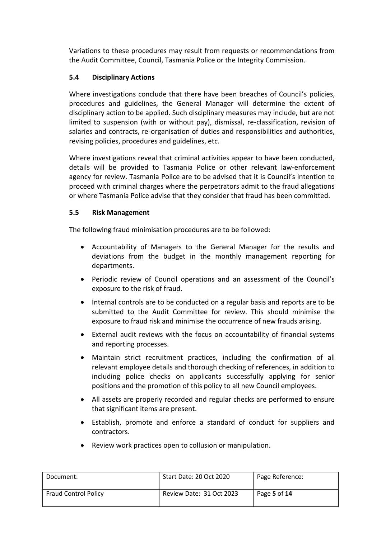Variations to these procedures may result from requests or recommendations from the Audit Committee, Council, Tasmania Police or the Integrity Commission.

# **5.4 Disciplinary Actions**

Where investigations conclude that there have been breaches of Council's policies, procedures and guidelines, the General Manager will determine the extent of disciplinary action to be applied. Such disciplinary measures may include, but are not limited to suspension (with or without pay), dismissal, re-classification, revision of salaries and contracts, re-organisation of duties and responsibilities and authorities, revising policies, procedures and guidelines, etc.

Where investigations reveal that criminal activities appear to have been conducted, details will be provided to Tasmania Police or other relevant law-enforcement agency for review. Tasmania Police are to be advised that it is Council's intention to proceed with criminal charges where the perpetrators admit to the fraud allegations or where Tasmania Police advise that they consider that fraud has been committed.

# **5.5 Risk Management**

The following fraud minimisation procedures are to be followed:

- Accountability of Managers to the General Manager for the results and deviations from the budget in the monthly management reporting for departments.
- Periodic review of Council operations and an assessment of the Council's exposure to the risk of fraud.
- Internal controls are to be conducted on a regular basis and reports are to be submitted to the Audit Committee for review. This should minimise the exposure to fraud risk and minimise the occurrence of new frauds arising.
- External audit reviews with the focus on accountability of financial systems and reporting processes.
- Maintain strict recruitment practices, including the confirmation of all relevant employee details and thorough checking of references, in addition to including police checks on applicants successfully applying for senior positions and the promotion of this policy to all new Council employees.
- All assets are properly recorded and regular checks are performed to ensure that significant items are present.
- Establish, promote and enforce a standard of conduct for suppliers and contractors.
- Document: Start Date: 20 Oct 2020 Page Reference: Fraud Control Policy Review Date: 31 Oct 2023 Page **5** of **14**
- Review work practices open to collusion or manipulation.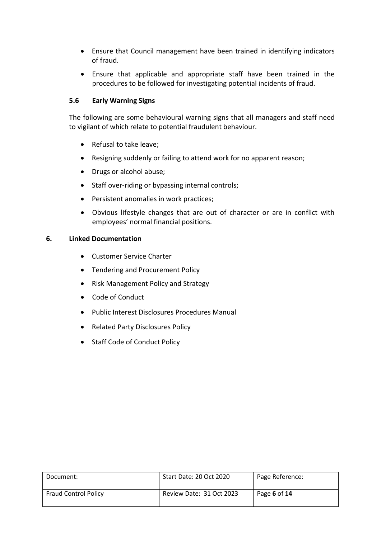- Ensure that Council management have been trained in identifying indicators of fraud.
- Ensure that applicable and appropriate staff have been trained in the procedures to be followed for investigating potential incidents of fraud.

## **5.6 Early Warning Signs**

The following are some behavioural warning signs that all managers and staff need to vigilant of which relate to potential fraudulent behaviour.

- Refusal to take leave;
- Resigning suddenly or failing to attend work for no apparent reason;
- Drugs or alcohol abuse:
- Staff over-riding or bypassing internal controls;
- Persistent anomalies in work practices;
- Obvious lifestyle changes that are out of character or are in conflict with employees' normal financial positions.

#### **6. Linked Documentation**

- Customer Service Charter
- Tendering and Procurement Policy
- Risk Management Policy and Strategy
- Code of Conduct
- Public Interest Disclosures Procedures Manual
- Related Party Disclosures Policy
- Staff Code of Conduct Policy

| Document:                   | Start Date: 20 Oct 2020  | Page Reference: |
|-----------------------------|--------------------------|-----------------|
| <b>Fraud Control Policy</b> | Review Date: 31 Oct 2023 | Page 6 of 14    |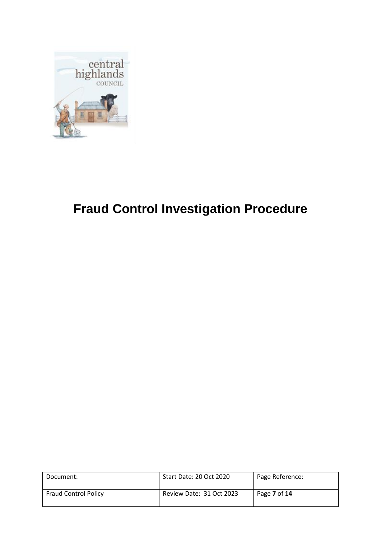

# **Fraud Control Investigation Procedure**

| Document:                   | Start Date: 20 Oct 2020  | Page Reference: |
|-----------------------------|--------------------------|-----------------|
| <b>Fraud Control Policy</b> | Review Date: 31 Oct 2023 | Page 7 of 14    |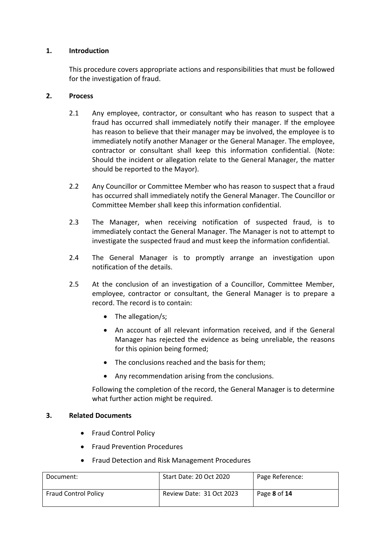## **1. Introduction**

This procedure covers appropriate actions and responsibilities that must be followed for the investigation of fraud.

### **2. Process**

- 2.1 Any employee, contractor, or consultant who has reason to suspect that a fraud has occurred shall immediately notify their manager. If the employee has reason to believe that their manager may be involved, the employee is to immediately notify another Manager or the General Manager. The employee, contractor or consultant shall keep this information confidential. (Note: Should the incident or allegation relate to the General Manager, the matter should be reported to the Mayor).
- 2.2 Any Councillor or Committee Member who has reason to suspect that a fraud has occurred shall immediately notify the General Manager. The Councillor or Committee Member shall keep this information confidential.
- 2.3 The Manager, when receiving notification of suspected fraud, is to immediately contact the General Manager. The Manager is not to attempt to investigate the suspected fraud and must keep the information confidential.
- 2.4 The General Manager is to promptly arrange an investigation upon notification of the details.
- 2.5 At the conclusion of an investigation of a Councillor, Committee Member, employee, contractor or consultant, the General Manager is to prepare a record. The record is to contain:
	- The allegation/s;
	- An account of all relevant information received, and if the General Manager has rejected the evidence as being unreliable, the reasons for this opinion being formed;
	- The conclusions reached and the basis for them;
	- Any recommendation arising from the conclusions.

Following the completion of the record, the General Manager is to determine what further action might be required.

## **3. Related Documents**

- Fraud Control Policy
- Fraud Prevention Procedures
- Fraud Detection and Risk Management Procedures

| Document:                   | Start Date: 20 Oct 2020  | Page Reference: |
|-----------------------------|--------------------------|-----------------|
| <b>Fraud Control Policy</b> | Review Date: 31 Oct 2023 | Page 8 of 14    |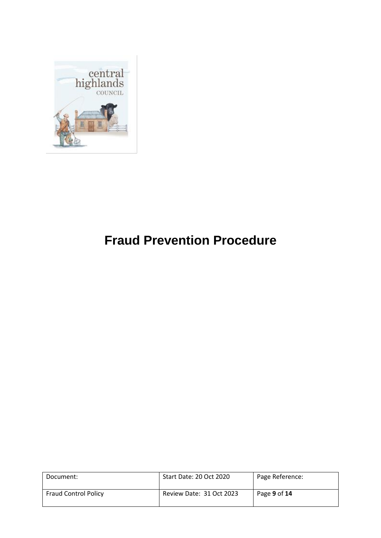

# **Fraud Prevention Procedure**

| Document:                   | Start Date: 20 Oct 2020  | Page Reference: |
|-----------------------------|--------------------------|-----------------|
| <b>Fraud Control Policy</b> | Review Date: 31 Oct 2023 | Page 9 of 14    |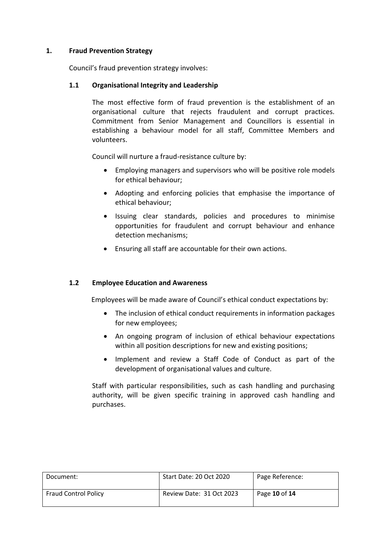## **1. Fraud Prevention Strategy**

Council's fraud prevention strategy involves:

## **1.1 Organisational Integrity and Leadership**

The most effective form of fraud prevention is the establishment of an organisational culture that rejects fraudulent and corrupt practices. Commitment from Senior Management and Councillors is essential in establishing a behaviour model for all staff, Committee Members and volunteers.

Council will nurture a fraud-resistance culture by:

- Employing managers and supervisors who will be positive role models for ethical behaviour;
- Adopting and enforcing policies that emphasise the importance of ethical behaviour;
- Issuing clear standards, policies and procedures to minimise opportunities for fraudulent and corrupt behaviour and enhance detection mechanisms;
- Ensuring all staff are accountable for their own actions.

# **1.2 Employee Education and Awareness**

Employees will be made aware of Council's ethical conduct expectations by:

- The inclusion of ethical conduct requirements in information packages for new employees;
- An ongoing program of inclusion of ethical behaviour expectations within all position descriptions for new and existing positions;
- Implement and review a Staff Code of Conduct as part of the development of organisational values and culture.

Staff with particular responsibilities, such as cash handling and purchasing authority, will be given specific training in approved cash handling and purchases.

| Document:                   | Start Date: 20 Oct 2020  | Page Reference: |
|-----------------------------|--------------------------|-----------------|
| <b>Fraud Control Policy</b> | Review Date: 31 Oct 2023 | Page 10 of 14   |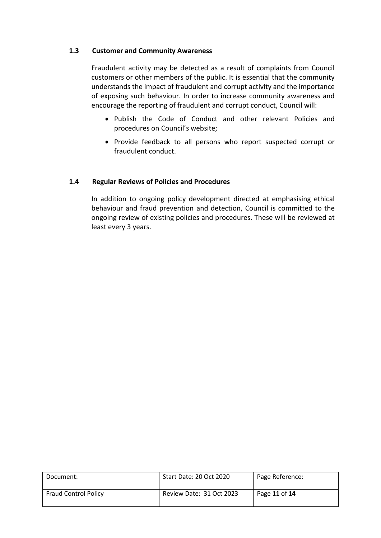## **1.3 Customer and Community Awareness**

Fraudulent activity may be detected as a result of complaints from Council customers or other members of the public. It is essential that the community understands the impact of fraudulent and corrupt activity and the importance of exposing such behaviour. In order to increase community awareness and encourage the reporting of fraudulent and corrupt conduct, Council will:

- Publish the Code of Conduct and other relevant Policies and procedures on Council's website;
- Provide feedback to all persons who report suspected corrupt or fraudulent conduct.

## **1.4 Regular Reviews of Policies and Procedures**

In addition to ongoing policy development directed at emphasising ethical behaviour and fraud prevention and detection, Council is committed to the ongoing review of existing policies and procedures. These will be reviewed at least every 3 years.

| Document:                   | Start Date: 20 Oct 2020  | Page Reference: |
|-----------------------------|--------------------------|-----------------|
| <b>Fraud Control Policy</b> | Review Date: 31 Oct 2023 | Page 11 of 14   |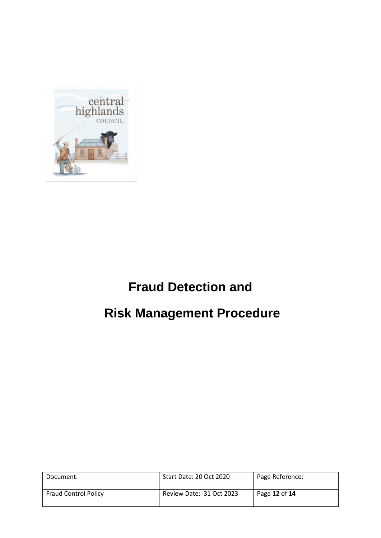

# **Fraud Detection and**

# **Risk Management Procedure**

| Document:                   | Start Date: 20 Oct 2020  | Page Reference: |
|-----------------------------|--------------------------|-----------------|
| <b>Fraud Control Policy</b> | Review Date: 31 Oct 2023 | Page 12 of 14   |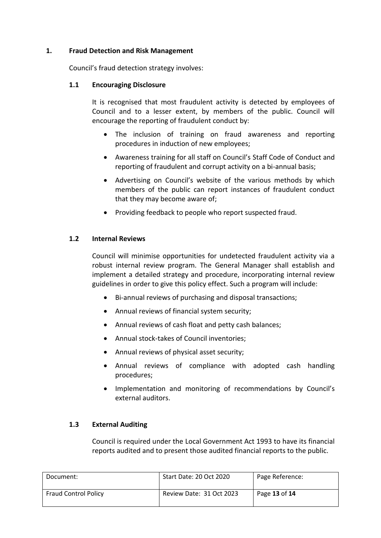## **1. Fraud Detection and Risk Management**

Council's fraud detection strategy involves:

### **1.1 Encouraging Disclosure**

It is recognised that most fraudulent activity is detected by employees of Council and to a lesser extent, by members of the public. Council will encourage the reporting of fraudulent conduct by:

- The inclusion of training on fraud awareness and reporting procedures in induction of new employees;
- Awareness training for all staff on Council's Staff Code of Conduct and reporting of fraudulent and corrupt activity on a bi-annual basis;
- Advertising on Council's website of the various methods by which members of the public can report instances of fraudulent conduct that they may become aware of;
- Providing feedback to people who report suspected fraud.

## **1.2 Internal Reviews**

Council will minimise opportunities for undetected fraudulent activity via a robust internal review program. The General Manager shall establish and implement a detailed strategy and procedure, incorporating internal review guidelines in order to give this policy effect. Such a program will include:

- Bi-annual reviews of purchasing and disposal transactions;
- Annual reviews of financial system security;
- Annual reviews of cash float and petty cash balances;
- Annual stock-takes of Council inventories;
- Annual reviews of physical asset security;
- Annual reviews of compliance with adopted cash handling procedures;
- Implementation and monitoring of recommendations by Council's external auditors.

#### **1.3 External Auditing**

Council is required under the Local Government Act 1993 to have its financial reports audited and to present those audited financial reports to the public.

| Document:                   | Start Date: 20 Oct 2020  | Page Reference: |
|-----------------------------|--------------------------|-----------------|
| <b>Fraud Control Policy</b> | Review Date: 31 Oct 2023 | Page 13 of 14   |